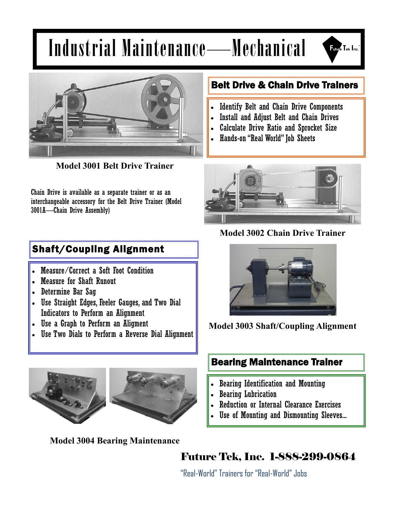# Industrial Maintenance—Mechanical





**Model 3001 Belt Drive Trainer**

Chain Drive is available as a separate trainer or as an interchangeable accessory for the Belt Drive Trainer (Model 3001A—Chain Drive Assembly)

## Shaft/Coupling Alignment

- Measure/Correct a Soft Foot Condition
- Measure for Shaft Runout
- Determine Bar Sag
- Use Straight Edges, Feeler Gauges, and Two Dial Indicators to Perform an Alignment
- Use a Graph to Perform an Aligment
- Use Two Dials to Perform a Reverse Dial Alignment



**Model 3004 Bearing Maintenance**

#### Belt Drive & Chain Drive Trainers

- Identify Belt and Chain Drive Components
- Install and Adjust Belt and Chain Drives
- Calculate Drive Ratio and Sprocket Size
- Hands-on "Real World" Job Sheets



**Model 3002 Chain Drive Trainer**



**Model 3003 Shaft/Coupling Alignment**

### Bearing Maintenance Trainer

- Bearing Identification and Mounting
- Bearing Lubrication
- Reduction or Internal Clearance Exercises
- Use of Mounting and Dismounting Sleeves...

Future Tek, Inc. 1-888-299-0864

"Real-World" Trainers for "Real-World" Jobs